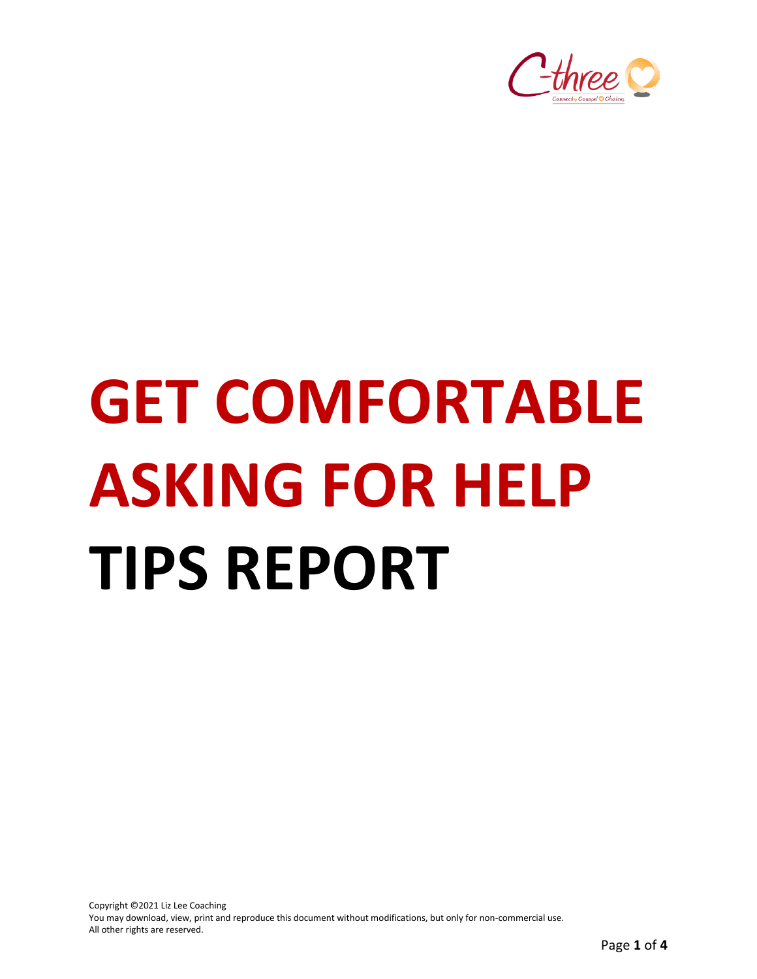

# **GET COMFORTABLE ASKING FOR HELP TIPS REPORT**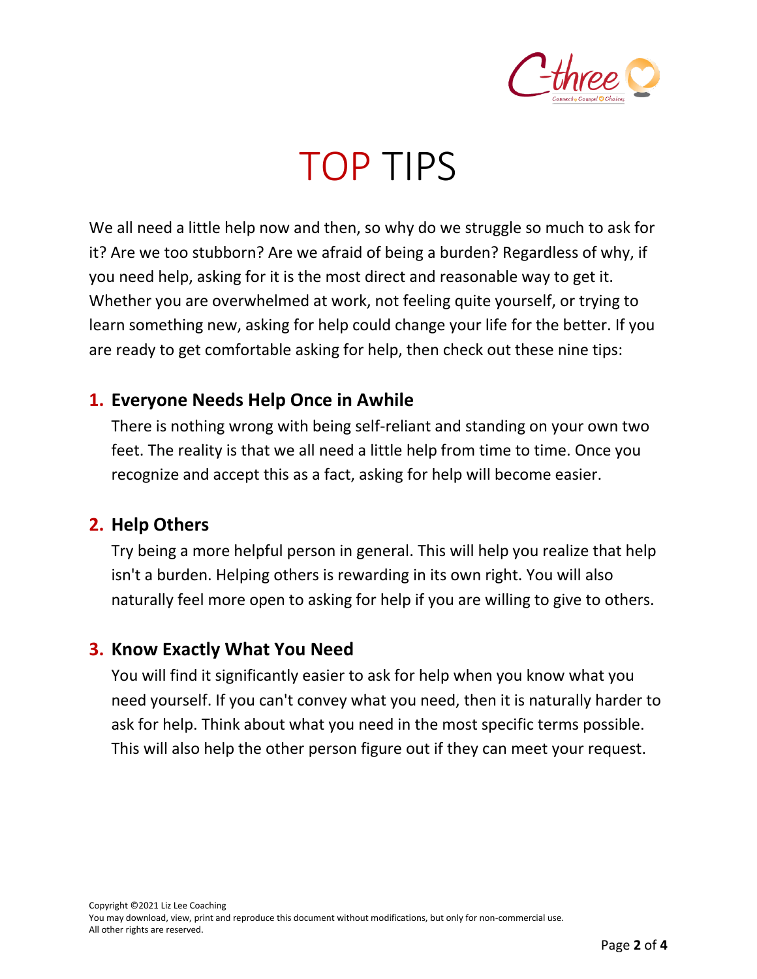

# TOP TIPS

We all need a little help now and then, so why do we struggle so much to ask for it? Are we too stubborn? Are we afraid of being a burden? Regardless of why, if you need help, asking for it is the most direct and reasonable way to get it. Whether you are overwhelmed at work, not feeling quite yourself, or trying to learn something new, asking for help could change your life for the better. If you are ready to get comfortable asking for help, then check out these nine tips:

#### **1. Everyone Needs Help Once in Awhile**

There is nothing wrong with being self-reliant and standing on your own two feet. The reality is that we all need a little help from time to time. Once you recognize and accept this as a fact, asking for help will become easier.

#### **2. Help Others**

Try being a more helpful person in general. This will help you realize that help isn't a burden. Helping others is rewarding in its own right. You will also naturally feel more open to asking for help if you are willing to give to others.

#### **3. Know Exactly What You Need**

You will find it significantly easier to ask for help when you know what you need yourself. If you can't convey what you need, then it is naturally harder to ask for help. Think about what you need in the most specific terms possible. This will also help the other person figure out if they can meet your request.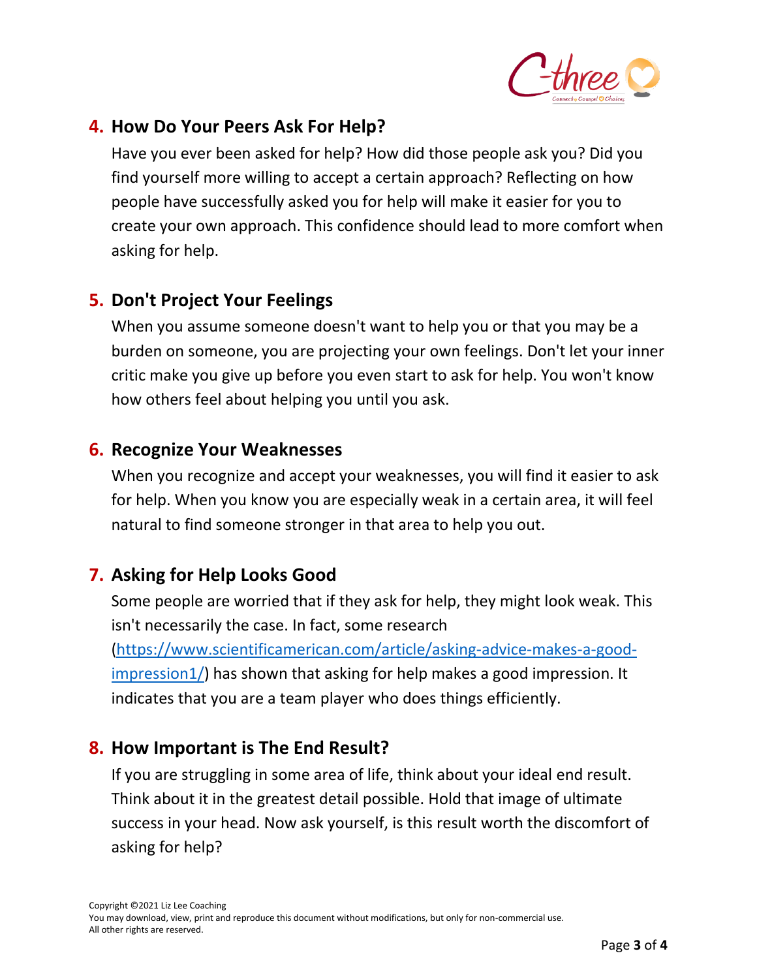

## **4. How Do Your Peers Ask For Help?**

Have you ever been asked for help? How did those people ask you? Did you find yourself more willing to accept a certain approach? Reflecting on how people have successfully asked you for help will make it easier for you to create your own approach. This confidence should lead to more comfort when asking for help.

## **5. Don't Project Your Feelings**

When you assume someone doesn't want to help you or that you may be a burden on someone, you are projecting your own feelings. Don't let your inner critic make you give up before you even start to ask for help. You won't know how others feel about helping you until you ask.

#### **6. Recognize Your Weaknesses**

When you recognize and accept your weaknesses, you will find it easier to ask for help. When you know you are especially weak in a certain area, it will feel natural to find someone stronger in that area to help you out.

# **7. Asking for Help Looks Good**

Some people are worried that if they ask for help, they might look weak. This isn't necessarily the case. In fact, some research [\(https://www.scientificamerican.com/article/asking-advice-makes-a-good](https://www.scientificamerican.com/article/asking-advice-makes-a-good-impression1/)[impression1/\)](https://www.scientificamerican.com/article/asking-advice-makes-a-good-impression1/) has shown that asking for help makes a good impression. It indicates that you are a team player who does things efficiently.

## **8. How Important is The End Result?**

If you are struggling in some area of life, think about your ideal end result. Think about it in the greatest detail possible. Hold that image of ultimate success in your head. Now ask yourself, is this result worth the discomfort of asking for help?